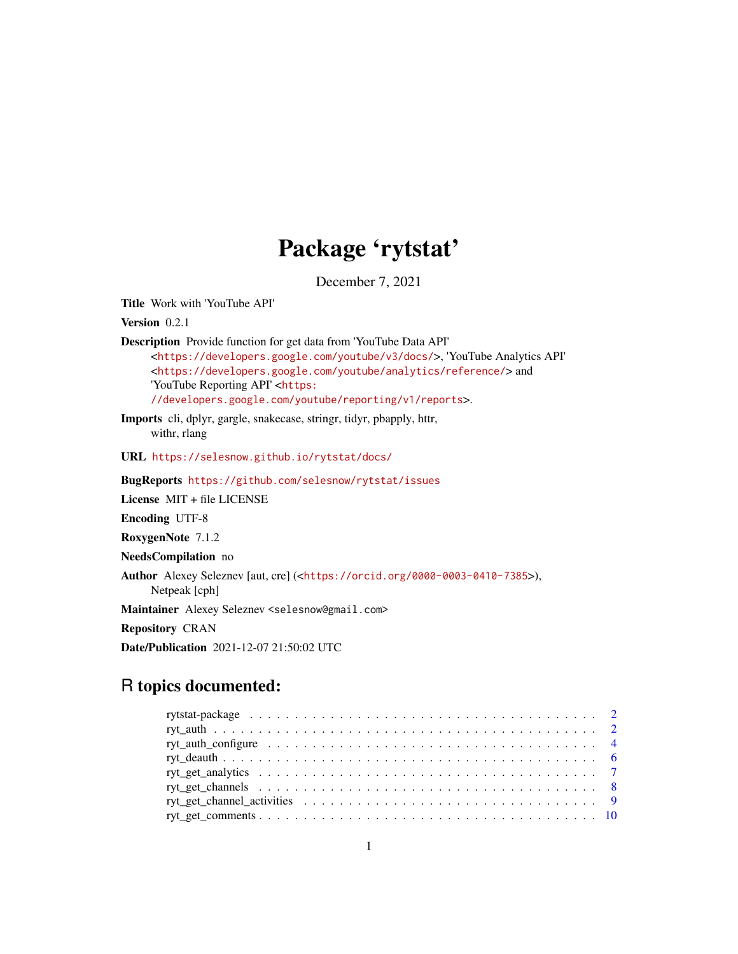# Package 'rytstat'

December 7, 2021

<span id="page-0-0"></span>Title Work with 'YouTube API'

Version 0.2.1

Description Provide function for get data from 'YouTube Data API' <<https://developers.google.com/youtube/v3/docs/>>, 'YouTube Analytics API' <<https://developers.google.com/youtube/analytics/reference/>> and 'YouTube Reporting API' <[https:](https://developers.google.com/youtube/reporting/v1/reports) [//developers.google.com/youtube/reporting/v1/reports](https://developers.google.com/youtube/reporting/v1/reports)>.

Imports cli, dplyr, gargle, snakecase, stringr, tidyr, pbapply, httr, withr, rlang

URL <https://selesnow.github.io/rytstat/docs/>

BugReports <https://github.com/selesnow/rytstat/issues>

License MIT + file LICENSE

Encoding UTF-8

RoxygenNote 7.1.2

NeedsCompilation no

Author Alexey Seleznev [aut, cre] (<<https://orcid.org/0000-0003-0410-7385>>), Netpeak [cph]

Maintainer Alexey Seleznev <selesnow@gmail.com>

Repository CRAN

Date/Publication 2021-12-07 21:50:02 UTC

# R topics documented:

| ryt_auth_configure $\ldots \ldots \ldots \ldots \ldots \ldots \ldots \ldots \ldots \ldots \ldots \ldots \ldots$ |  |
|-----------------------------------------------------------------------------------------------------------------|--|
|                                                                                                                 |  |
|                                                                                                                 |  |
|                                                                                                                 |  |
|                                                                                                                 |  |
|                                                                                                                 |  |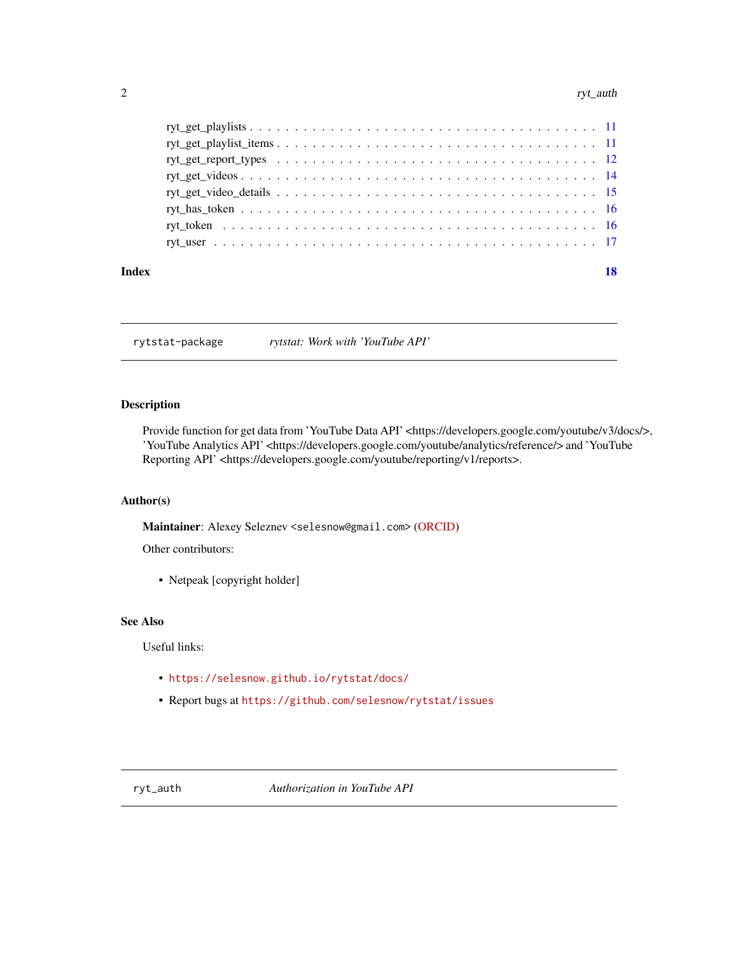#### <span id="page-1-0"></span>2 ryt\_auth

rytstat-package *rytstat: Work with 'YouTube API'*

#### Description

Provide function for get data from 'YouTube Data API' <https://developers.google.com/youtube/v3/docs/>, 'YouTube Analytics API' <https://developers.google.com/youtube/analytics/reference/> and 'YouTube Reporting API' <https://developers.google.com/youtube/reporting/v1/reports>.

#### Author(s)

Maintainer: Alexey Seleznev <selesnow@gmail.com> [\(ORCID\)](https://orcid.org/0000-0003-0410-7385)

Other contributors:

• Netpeak [copyright holder]

#### See Also

Useful links:

- <https://selesnow.github.io/rytstat/docs/>
- Report bugs at <https://github.com/selesnow/rytstat/issues>

<span id="page-1-1"></span>ryt\_auth *Authorization in YouTube API*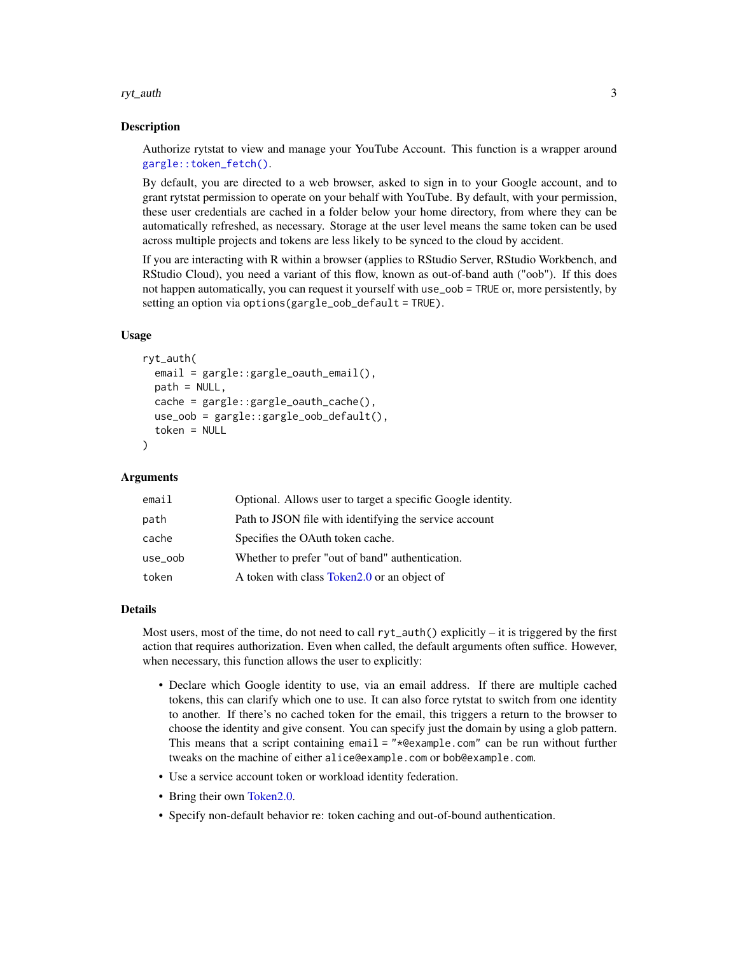<span id="page-2-0"></span>ryt\_auth 3

#### **Description**

Authorize rytstat to view and manage your YouTube Account. This function is a wrapper around [gargle::token\\_fetch\(\)](#page-0-0).

By default, you are directed to a web browser, asked to sign in to your Google account, and to grant rytstat permission to operate on your behalf with YouTube. By default, with your permission, these user credentials are cached in a folder below your home directory, from where they can be automatically refreshed, as necessary. Storage at the user level means the same token can be used across multiple projects and tokens are less likely to be synced to the cloud by accident.

If you are interacting with R within a browser (applies to RStudio Server, RStudio Workbench, and RStudio Cloud), you need a variant of this flow, known as out-of-band auth ("oob"). If this does not happen automatically, you can request it yourself with use\_oob = TRUE or, more persistently, by setting an option via options(gargle\_oob\_default = TRUE).

#### Usage

```
ryt_auth(
  email = gargle::gargle_oauth_email(),
 path = NULL,cache = gargle::gargle_oauth_cache(),
  use_oob = gargle::gargle_oob_default(),
  token = NULL
)
```
#### Arguments

| email   | Optional. Allows user to target a specific Google identity. |
|---------|-------------------------------------------------------------|
| path    | Path to JSON file with identifying the service account      |
| cache   | Specifies the OAuth token cache.                            |
| use_oob | Whether to prefer "out of band" authentication.             |
| token   | A token with class Token 2.0 or an object of                |

#### Details

Most users, most of the time, do not need to call  $ryt_aut()$  explicitly – it is triggered by the first action that requires authorization. Even when called, the default arguments often suffice. However, when necessary, this function allows the user to explicitly:

- Declare which Google identity to use, via an email address. If there are multiple cached tokens, this can clarify which one to use. It can also force rytstat to switch from one identity to another. If there's no cached token for the email, this triggers a return to the browser to choose the identity and give consent. You can specify just the domain by using a glob pattern. This means that a script containing email = "\*@example.com" can be run without further tweaks on the machine of either alice@example.com or bob@example.com.
- Use a service account token or workload identity federation.
- Bring their own Token 2.0.
- Specify non-default behavior re: token caching and out-of-bound authentication.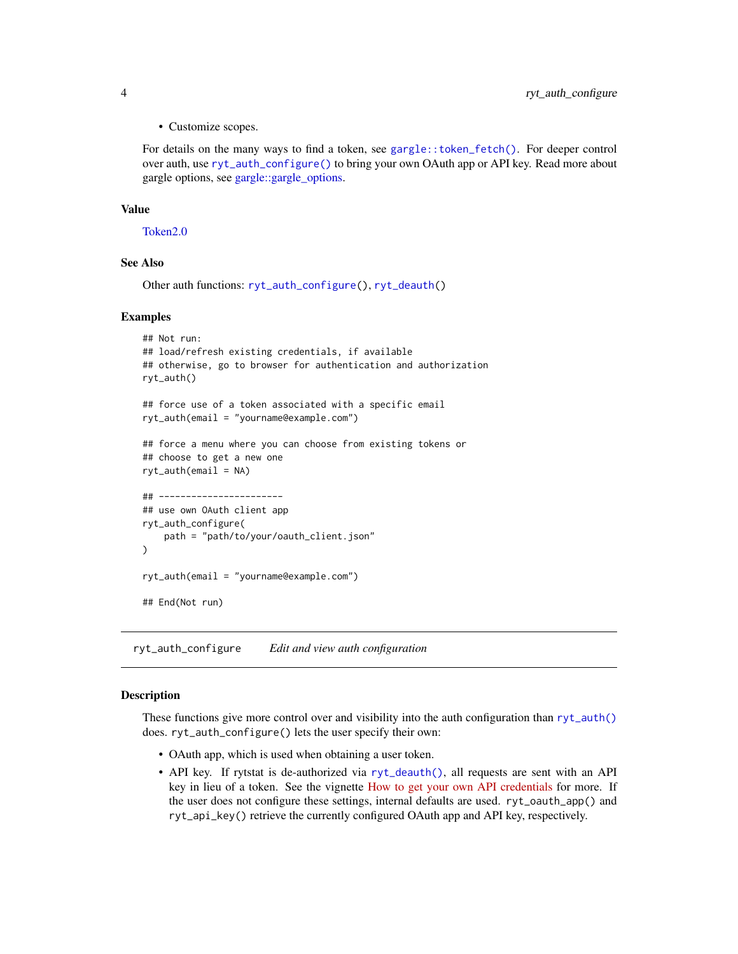<span id="page-3-0"></span>• Customize scopes.

For details on the many ways to find a token, see [gargle::token\\_fetch\(\)](#page-0-0). For deeper control over auth, use [ryt\\_auth\\_configure\(\)](#page-3-1) to bring your own OAuth app or API key. Read more about gargle options, see [gargle::gargle\\_options.](#page-0-0)

#### Value

[Token2.0](#page-0-0)

# See Also

Other auth functions: [ryt\\_auth\\_configure\(](#page-3-1)), [ryt\\_deauth\(](#page-5-1))

#### Examples

```
## Not run:
## load/refresh existing credentials, if available
## otherwise, go to browser for authentication and authorization
ryt_auth()
## force use of a token associated with a specific email
ryt_auth(email = "yourname@example.com")
## force a menu where you can choose from existing tokens or
## choose to get a new one
ryt_auth(email = NA)
## -----------------------
## use own OAuth client app
ryt_auth_configure(
   path = "path/to/your/oauth_client.json"
)
ryt_auth(email = "yourname@example.com")
## End(Not run)
```
<span id="page-3-1"></span>ryt\_auth\_configure *Edit and view auth configuration*

# <span id="page-3-2"></span>Description

These functions give more control over and visibility into the auth configuration than  $ryt_aut()$ does. ryt\_auth\_configure() lets the user specify their own:

- OAuth app, which is used when obtaining a user token.
- API key. If rytstat is de-authorized via [ryt\\_deauth\(\)](#page-5-1), all requests are sent with an API key in lieu of a token. See the vignette [How to get your own API credentials](https://gargle.r-lib.org/articles/get-api-credentials.html) for more. If the user does not configure these settings, internal defaults are used. ryt\_oauth\_app() and ryt\_api\_key() retrieve the currently configured OAuth app and API key, respectively.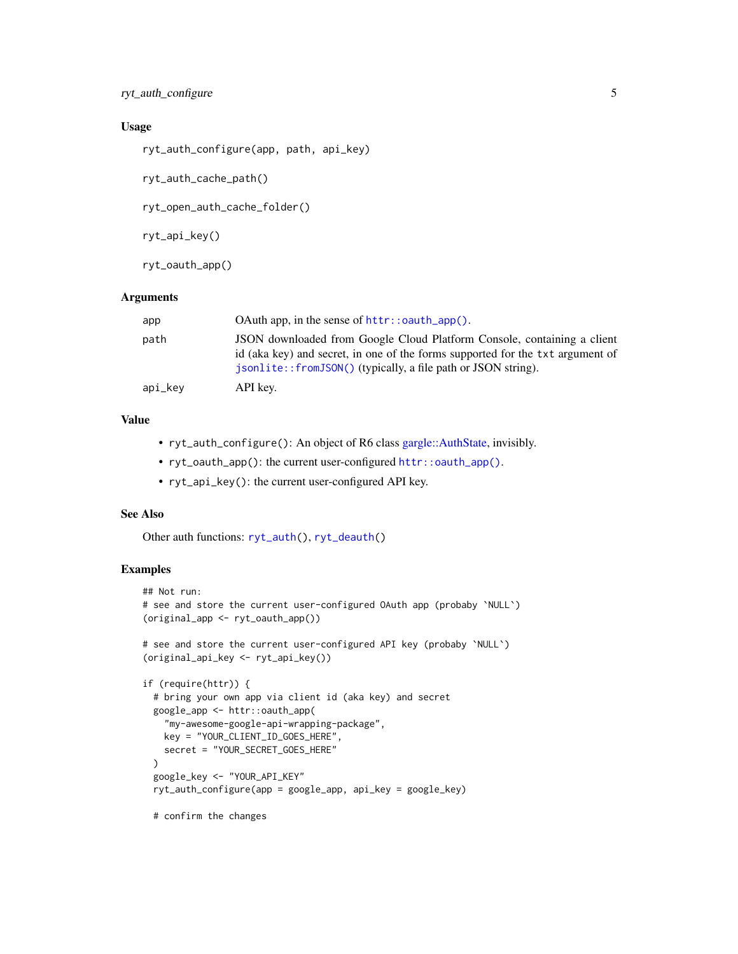# <span id="page-4-0"></span>Usage

ryt\_auth\_configure(app, path, api\_key)

ryt\_auth\_cache\_path()

ryt\_open\_auth\_cache\_folder()

ryt\_api\_key()

ryt\_oauth\_app()

#### Arguments

| app     |                                                                                                                                                                                                                            |
|---------|----------------------------------------------------------------------------------------------------------------------------------------------------------------------------------------------------------------------------|
| path    | JSON downloaded from Google Cloud Platform Console, containing a client<br>id (aka key) and secret, in one of the forms supported for the txt argument of<br>isonlite::fromJSON() (typically, a file path or JSON string). |
| api_key | API key.                                                                                                                                                                                                                   |

# Value

- ryt\_auth\_configure(): An object of R6 class [gargle::AuthState,](#page-0-0) invisibly.
- ryt\_oauth\_app(): the current user-configured [httr::oauth\\_app\(\)](#page-0-0).
- ryt\_api\_key(): the current user-configured API key.

#### See Also

Other auth functions: [ryt\\_auth\(](#page-1-1)), [ryt\\_deauth\(](#page-5-1))

#### Examples

```
## Not run:
# see and store the current user-configured OAuth app (probaby `NULL`)
(original_app <- ryt_oauth_app())
# see and store the current user-configured API key (probaby `NULL`)
(original_api_key <- ryt_api_key())
if (require(httr)) {
 # bring your own app via client id (aka key) and secret
 google_app <- httr::oauth_app(
    "my-awesome-google-api-wrapping-package",
   key = "YOUR_CLIENT_ID_GOES_HERE",
   secret = "YOUR_SECRET_GOES_HERE"
 )
 google_key <- "YOUR_API_KEY"
 ryt_auth_configure(app = google_app, api_key = google_key)
```
# confirm the changes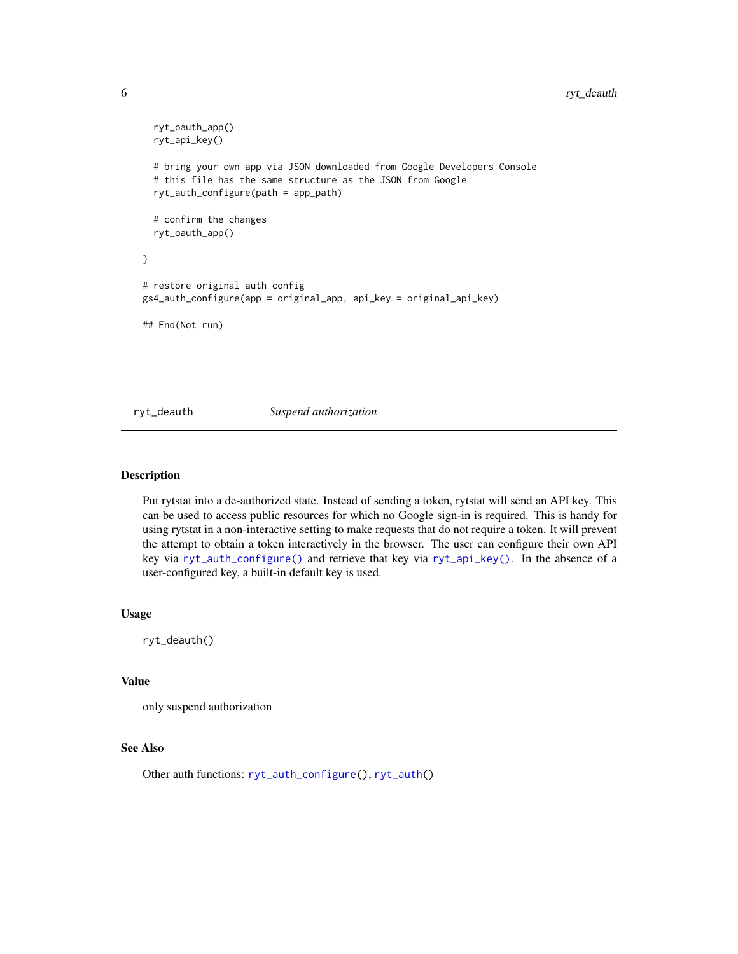# <span id="page-5-0"></span>6 ryt\_deauth

```
ryt_oauth_app()
 ryt_api_key()
 # bring your own app via JSON downloaded from Google Developers Console
 # this file has the same structure as the JSON from Google
 ryt_auth_configure(path = app_path)
 # confirm the changes
 ryt_oauth_app()
}
# restore original auth config
gs4_auth_configure(app = original_app, api_key = original_api_key)
## End(Not run)
```
<span id="page-5-1"></span>ryt\_deauth *Suspend authorization*

#### Description

Put rytstat into a de-authorized state. Instead of sending a token, rytstat will send an API key. This can be used to access public resources for which no Google sign-in is required. This is handy for using rytstat in a non-interactive setting to make requests that do not require a token. It will prevent the attempt to obtain a token interactively in the browser. The user can configure their own API key via [ryt\\_auth\\_configure\(\)](#page-3-1) and retrieve that key via [ryt\\_api\\_key\(\)](#page-3-2). In the absence of a user-configured key, a built-in default key is used.

#### Usage

ryt\_deauth()

#### Value

only suspend authorization

#### See Also

Other auth functions: [ryt\\_auth\\_configure\(](#page-3-1)), [ryt\\_auth\(](#page-1-1))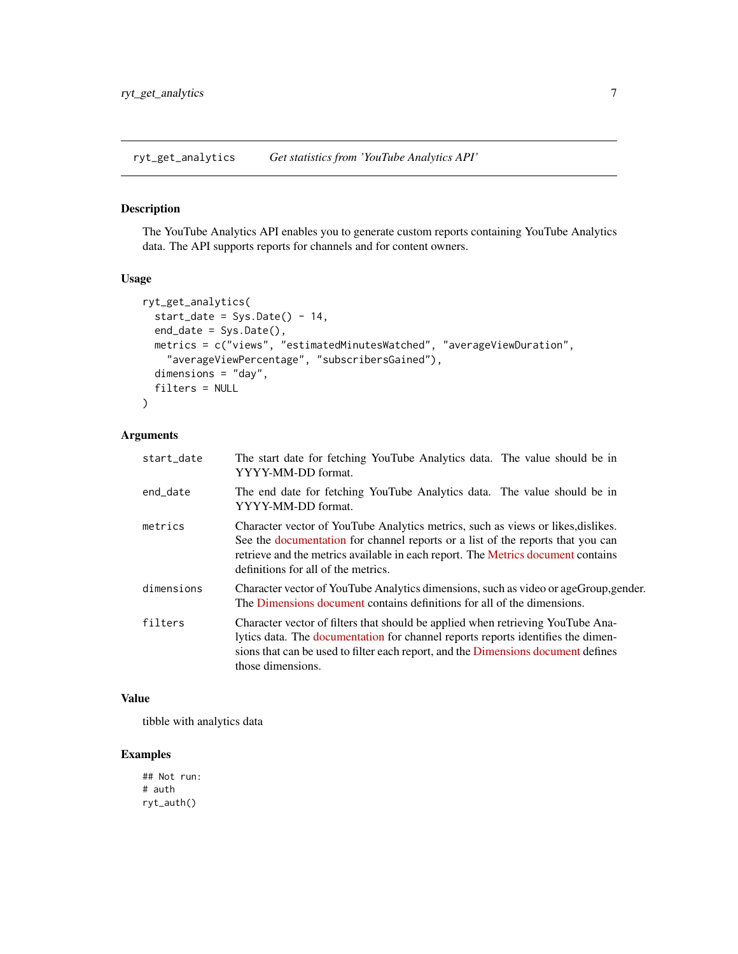<span id="page-6-0"></span>ryt\_get\_analytics *Get statistics from 'YouTube Analytics API'*

#### Description

The YouTube Analytics API enables you to generate custom reports containing YouTube Analytics data. The API supports reports for channels and for content owners.

#### Usage

```
ryt_get_analytics(
 start_date = Sys.Date() - 14,end_date = Sys.Date(),
 metrics = c("views", "estimatedMinutesWatched", "averageViewDuration",
    "averageViewPercentage", "subscribersGained"),
 dimensions = "day",
  filters = NULL
)
```
#### Arguments

| start_date | The start date for fetching YouTube Analytics data. The value should be in<br>YYYY-MM-DD format.                                                                                                                                                                                               |
|------------|------------------------------------------------------------------------------------------------------------------------------------------------------------------------------------------------------------------------------------------------------------------------------------------------|
| end_date   | The end date for fetching YouTube Analytics data. The value should be in<br>YYYY-MM-DD format.                                                                                                                                                                                                 |
| metrics    | Character vector of YouTube Analytics metrics, such as views or likes, dislikes.<br>See the documentation for channel reports or a list of the reports that you can<br>retrieve and the metrics available in each report. The Metrics document contains<br>definitions for all of the metrics. |
| dimensions | Character vector of YouTube Analytics dimensions, such as video or ageGroup, gender.<br>The Dimensions document contains definitions for all of the dimensions.                                                                                                                                |
| filters    | Character vector of filters that should be applied when retrieving YouTube Ana-<br>lytics data. The documentation for channel reports reports identifies the dimen-<br>sions that can be used to filter each report, and the Dimensions document defines<br>those dimensions.                  |

#### Value

tibble with analytics data

# Examples

## Not run: # auth ryt\_auth()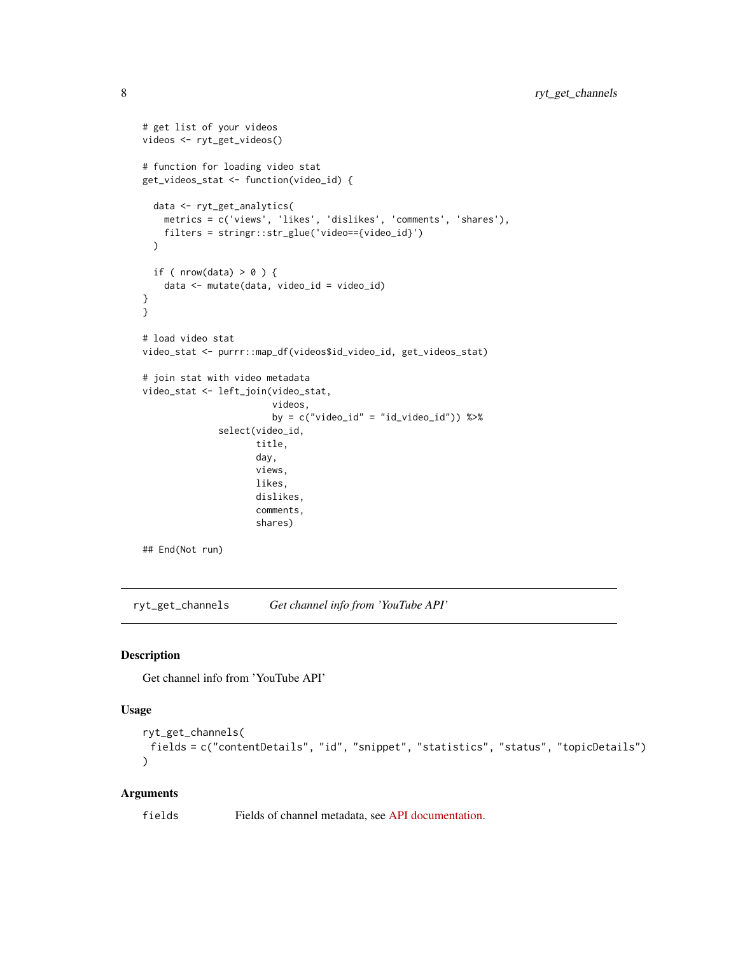```
# get list of your videos
videos <- ryt_get_videos()
# function for loading video stat
get_videos_stat <- function(video_id) {
 data <- ryt_get_analytics(
   metrics = c('views', 'likes', 'dislikes', 'comments', 'shares'),
   filters = stringr::str_glue('video=={video_id}')
 \lambdaif ( nrow(data) > 0 ) {
   data <- mutate(data, video_id = video_id)
}
}
# load video stat
video_stat <- purrr::map_df(videos$id_video_id, get_videos_stat)
# join stat with video metadata
video_stat <- left_join(video_stat,
                        videos,
                        by = c("video_id" = "id_value_id")) %>%
              select(video_id,
                     title,
                     day,
                     views,
                     likes,
                     dislikes,
                     comments,
                     shares)
```

```
## End(Not run)
```
ryt\_get\_channels *Get channel info from 'YouTube API'*

# Description

Get channel info from 'YouTube API'

#### Usage

```
ryt_get_channels(
 fields = c("contentDetails", "id", "snippet", "statistics", "status", "topicDetails")
)
```
#### Arguments

fields Fields of channel metadata, see [API documentation.](https://developers.google.com/youtube/v3/docs/channels/list)

<span id="page-7-0"></span>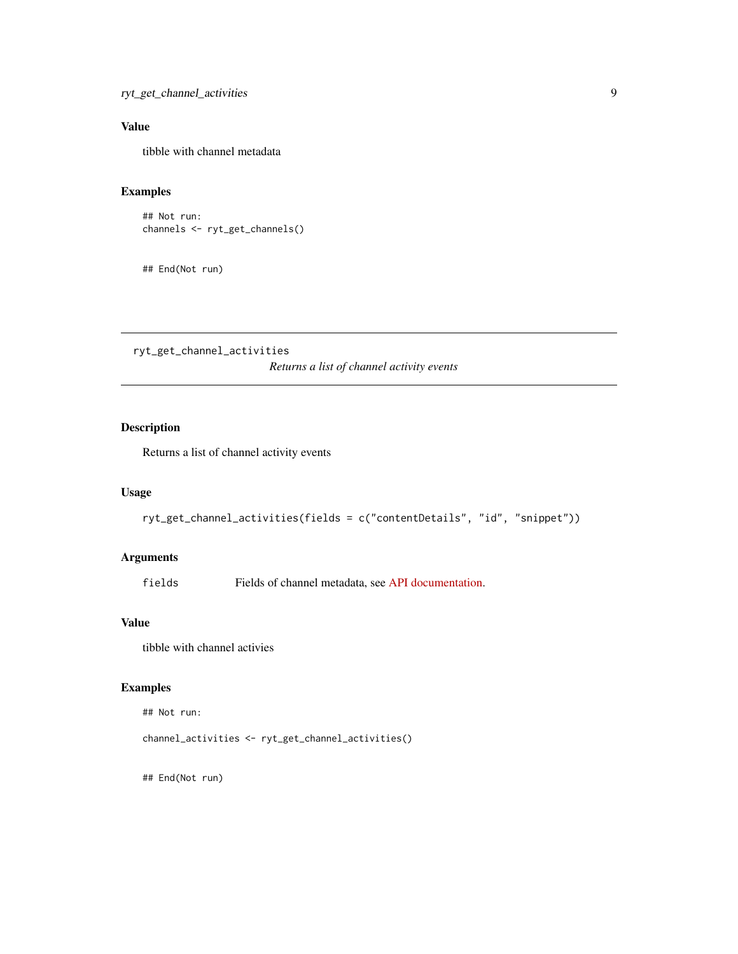# <span id="page-8-0"></span>Value

tibble with channel metadata

# Examples

```
## Not run:
channels <- ryt_get_channels()
```
## End(Not run)

ryt\_get\_channel\_activities

*Returns a list of channel activity events*

# Description

Returns a list of channel activity events

# Usage

```
ryt_get_channel_activities(fields = c("contentDetails", "id", "snippet"))
```
# Arguments

fields Fields of channel metadata, see [API documentation.](https://developers.google.com/youtube/v3/docs/activities/list)

#### Value

tibble with channel activies

# Examples

## Not run:

channel\_activities <- ryt\_get\_channel\_activities()

## End(Not run)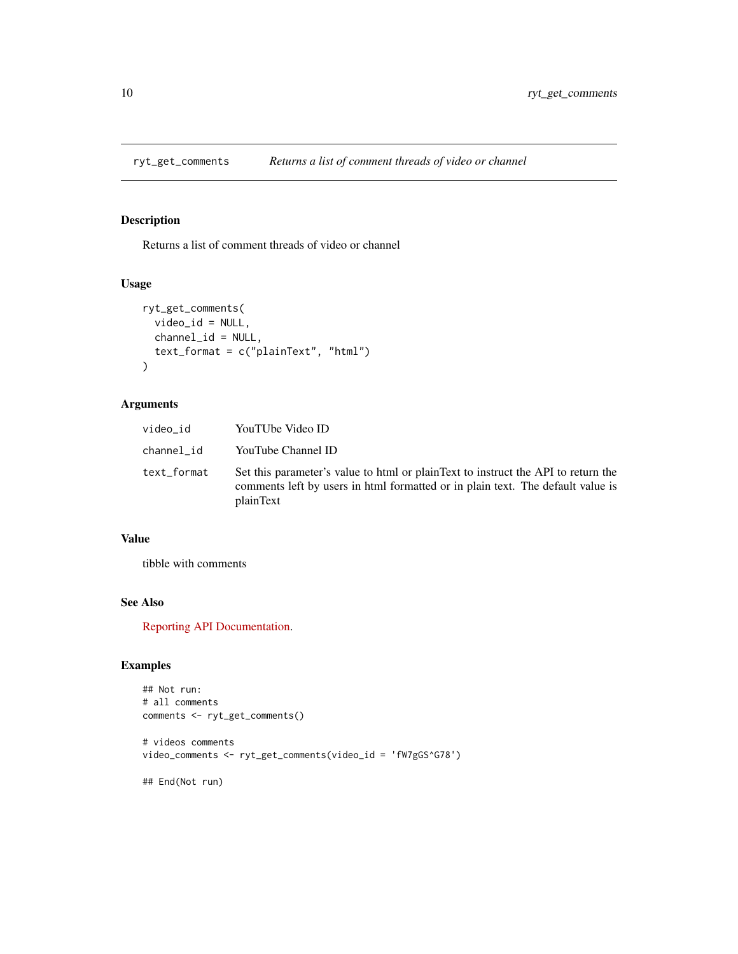<span id="page-9-0"></span>

Returns a list of comment threads of video or channel

# Usage

```
ryt_get_comments(
  video_id = NULL,
  channel_id = NULL,
  text_format = c("plainText", "html")
\mathcal{L}
```
# Arguments

| video_id    | YouTUbe Video ID                                                                                                                                                                  |
|-------------|-----------------------------------------------------------------------------------------------------------------------------------------------------------------------------------|
| channel_id  | YouTube Channel ID                                                                                                                                                                |
| text_format | Set this parameter's value to html or plainText to instruct the API to return the<br>comments left by users in html formatted or in plain text. The default value is<br>plainText |

# Value

tibble with comments

# See Also

[Reporting API Documentation.](https://developers.google.com/youtube/v3/docs/commentThreads/list)

# Examples

```
## Not run:
# all comments
comments <- ryt_get_comments()
# videos comments
video_comments <- ryt_get_comments(video_id = 'fW7gGS^G78')
```
## End(Not run)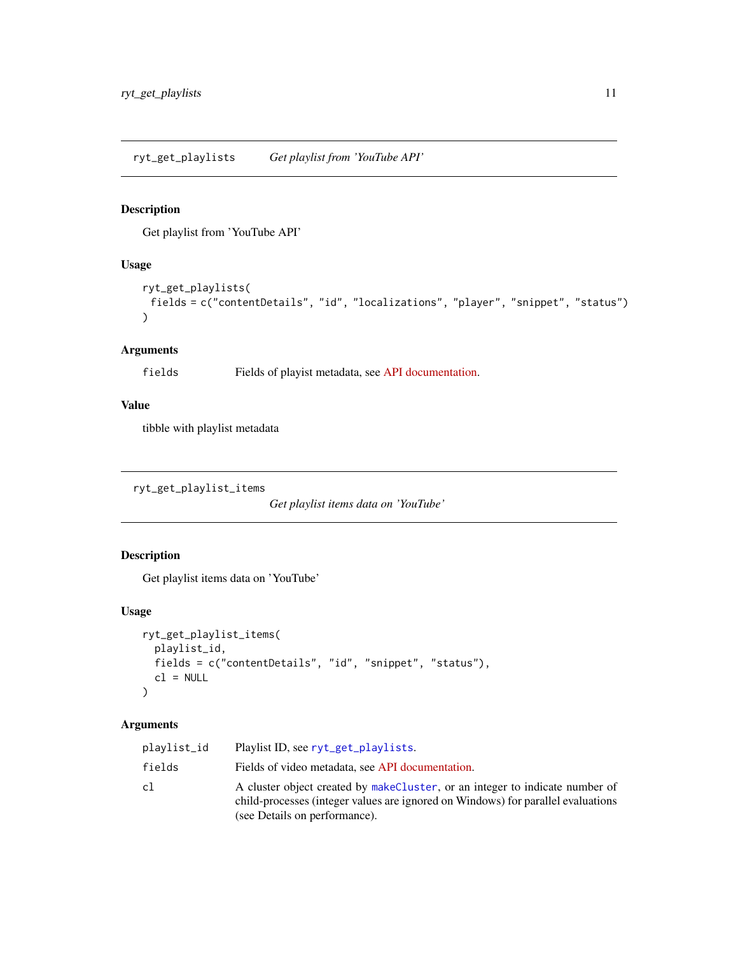<span id="page-10-1"></span><span id="page-10-0"></span>Get playlist from 'YouTube API'

# Usage

```
ryt_get_playlists(
 fields = c("contentDetails", "id", "localizations", "player", "snippet", "status")
)
```
#### Arguments

fields Fields of playist metadata, see [API documentation.](https://developers.google.com/youtube/v3/docs/playlists/list)

# Value

tibble with playlist metadata

ryt\_get\_playlist\_items

*Get playlist items data on 'YouTube'*

#### Description

Get playlist items data on 'YouTube'

#### Usage

```
ryt_get_playlist_items(
 playlist_id,
 fields = c("contentDetails", "id", "snippet", "status"),
 cl = NULL)
```
# Arguments

| plavlist_id | Playlist ID, see ryt_get_playlists.                                                                                                                                                               |
|-------------|---------------------------------------------------------------------------------------------------------------------------------------------------------------------------------------------------|
| fields      | Fields of video metadata, see API documentation.                                                                                                                                                  |
| cl          | A cluster object created by makeCluster, or an integer to indicate number of<br>child-processes (integer values are ignored on Windows) for parallel evaluations<br>(see Details on performance). |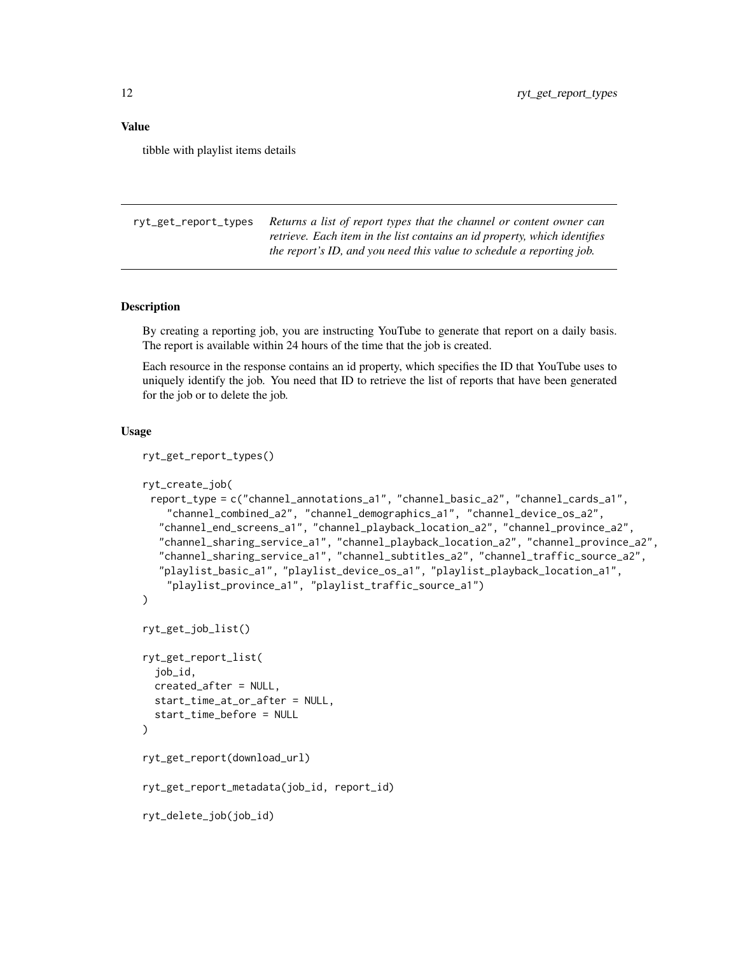#### <span id="page-11-0"></span>Value

tibble with playlist items details

<span id="page-11-1"></span>ryt\_get\_report\_types *Returns a list of report types that the channel or content owner can retrieve. Each item in the list contains an id property, which identifies the report's ID, and you need this value to schedule a reporting job.*

#### <span id="page-11-2"></span>Description

By creating a reporting job, you are instructing YouTube to generate that report on a daily basis. The report is available within 24 hours of the time that the job is created.

Each resource in the response contains an id property, which specifies the ID that YouTube uses to uniquely identify the job. You need that ID to retrieve the list of reports that have been generated for the job or to delete the job.

#### Usage

```
ryt_get_report_types()
```

```
ryt_create_job(
 report_type = c("channel_annotations_a1", "channel_basic_a2", "channel_cards_a1",
    "channel_combined_a2", "channel_demographics_a1", "channel_device_os_a2",
  "channel_end_screens_a1", "channel_playback_location_a2", "channel_province_a2",
  "channel_sharing_service_a1", "channel_playback_location_a2", "channel_province_a2",
  "channel_sharing_service_a1", "channel_subtitles_a2", "channel_traffic_source_a2",
  "playlist_basic_a1", "playlist_device_os_a1", "playlist_playback_location_a1",
    "playlist_province_a1", "playlist_traffic_source_a1")
)
ryt_get_job_list()
ryt_get_report_list(
  job_id,
  created_after = NULL,
  start_time_at_or_after = NULL,
  start_time_before = NULL
\lambdaryt_get_report(download_url)
ryt_get_report_metadata(job_id, report_id)
ryt_delete_job(job_id)
```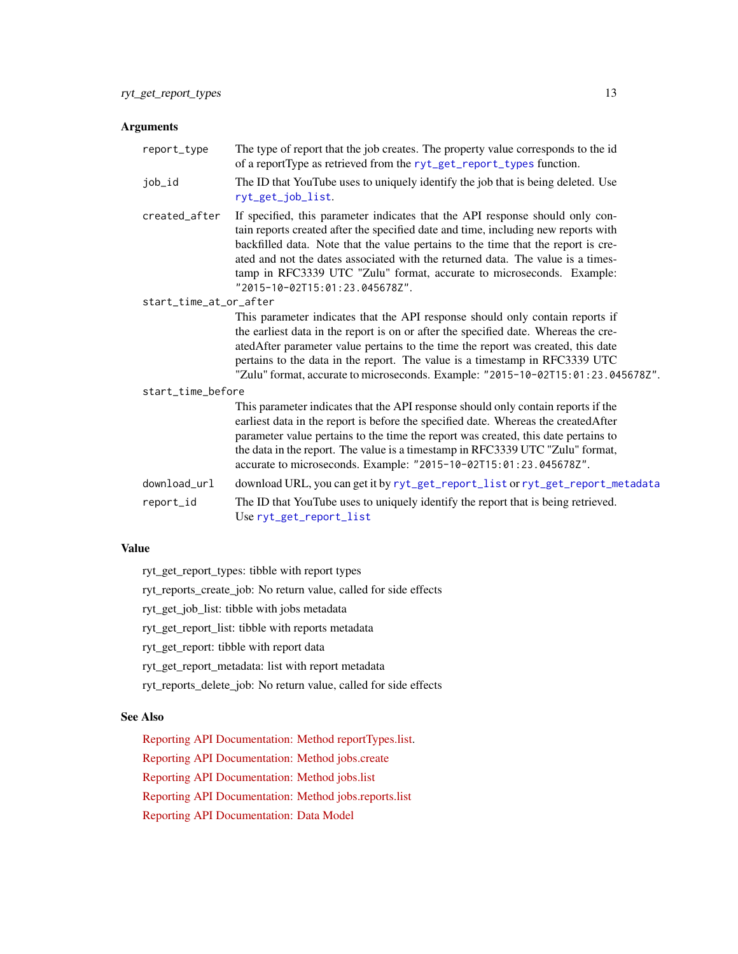#### <span id="page-12-0"></span>Arguments

| report_type            | The type of report that the job creates. The property value corresponds to the id<br>of a reportType as retrieved from the ryt_get_report_types function.                                                                                                                                                                                                                                                                                              |
|------------------------|--------------------------------------------------------------------------------------------------------------------------------------------------------------------------------------------------------------------------------------------------------------------------------------------------------------------------------------------------------------------------------------------------------------------------------------------------------|
| job_id                 | The ID that YouTube uses to uniquely identify the job that is being deleted. Use<br>ryt_get_job_list.                                                                                                                                                                                                                                                                                                                                                  |
| created_after          | If specified, this parameter indicates that the API response should only con-<br>tain reports created after the specified date and time, including new reports with<br>backfilled data. Note that the value pertains to the time that the report is cre-<br>ated and not the dates associated with the returned data. The value is a times-<br>tamp in RFC3339 UTC "Zulu" format, accurate to microseconds. Example:<br>"2015-10-02T15:01:23.045678Z". |
| start_time_at_or_after |                                                                                                                                                                                                                                                                                                                                                                                                                                                        |
|                        | This parameter indicates that the API response should only contain reports if<br>the earliest data in the report is on or after the specified date. Whereas the cre-<br>atedAfter parameter value pertains to the time the report was created, this date<br>pertains to the data in the report. The value is a timestamp in RFC3339 UTC<br>"Zulu" format, accurate to microseconds. Example: "2015-10-02T15:01:23.045678Z".                            |
| start_time_before      |                                                                                                                                                                                                                                                                                                                                                                                                                                                        |
|                        | This parameter indicates that the API response should only contain reports if the<br>earliest data in the report is before the specified date. Whereas the created After<br>parameter value pertains to the time the report was created, this date pertains to<br>the data in the report. The value is a timestamp in RFC3339 UTC "Zulu" format,<br>accurate to microseconds. Example: "2015-10-02T15:01:23.045678Z".                                  |
| download_url           | download URL, you can get it by ryt_get_report_list or ryt_get_report_metadata                                                                                                                                                                                                                                                                                                                                                                         |
| report_id              | The ID that YouTube uses to uniquely identify the report that is being retrieved.<br>Use ryt_get_report_list                                                                                                                                                                                                                                                                                                                                           |

#### Value

ryt\_get\_report\_types: tibble with report types

ryt\_reports\_create\_job: No return value, called for side effects

ryt\_get\_job\_list: tibble with jobs metadata

ryt\_get\_report\_list: tibble with reports metadata

ryt\_get\_report: tibble with report data

ryt\_get\_report\_metadata: list with report metadata

ryt\_reports\_delete\_job: No return value, called for side effects

# See Also

[Reporting API Documentation: Method reportTypes.list.](https://developers.google.com/youtube/reporting/v1/reference/rest/v1/reportTypes/list)

[Reporting API Documentation: Method jobs.create](https://developers.google.com/youtube/reporting/v1/reference/rest/v1/jobs/create)

[Reporting API Documentation: Method jobs.list](https://developers.google.com/youtube/reporting/v1/reference/rest/v1/jobs/list)

[Reporting API Documentation: Method jobs.reports.list](https://developers.google.com/youtube/reporting/v1/reference/rest/v1/jobs.reports/list)

[Reporting API Documentation: Data Model](https://developers.google.com/youtube/reporting/v1/reports)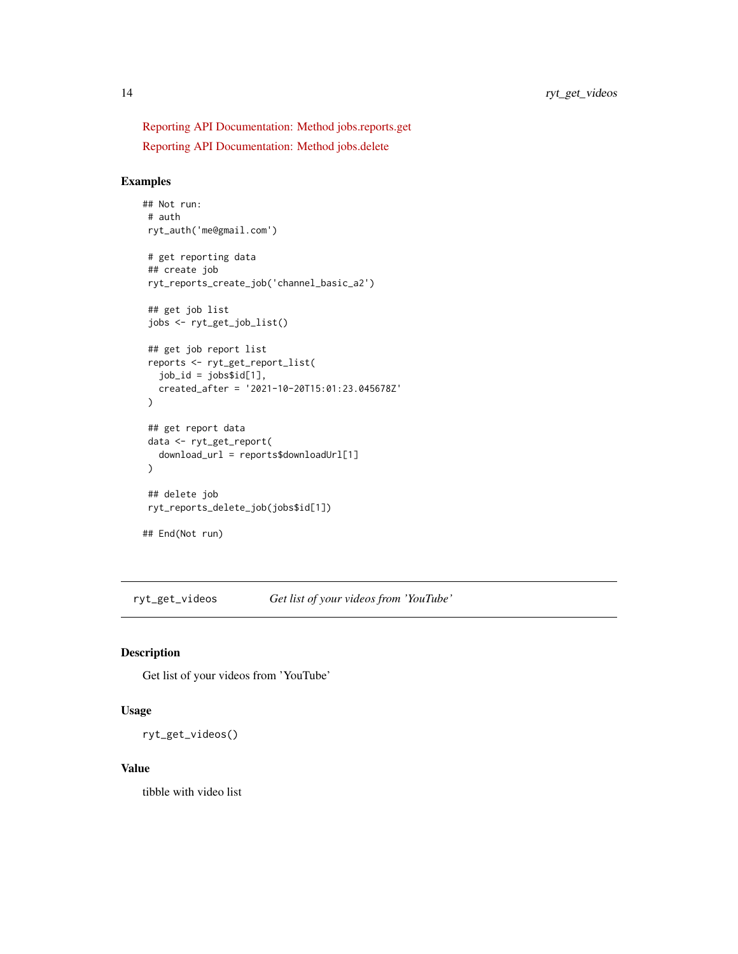<span id="page-13-0"></span>[Reporting API Documentation: Method jobs.reports.get](https://developers.google.com/youtube/reporting/v1/reference/rest/v1/jobs.reports/get) [Reporting API Documentation: Method jobs.delete](https://developers.google.com/youtube/reporting/v1/reference/rest/v1/jobs/delete)

#### Examples

```
## Not run:
# auth
ryt_auth('me@gmail.com')
# get reporting data
## create job
ryt_reports_create_job('channel_basic_a2')
## get job list
jobs <- ryt_get_job_list()
## get job report list
reports <- ryt_get_report_list(
  job_id = jobs$id[1],
  created_after = '2021-10-20T15:01:23.045678Z'
)
## get report data
data <- ryt_get_report(
  download_url = reports$downloadUrl[1]
\mathcal{L}## delete job
ryt_reports_delete_job(jobs$id[1])
## End(Not run)
```
<span id="page-13-1"></span>ryt\_get\_videos *Get list of your videos from 'YouTube'*

# Description

Get list of your videos from 'YouTube'

#### Usage

```
ryt_get_videos()
```
#### Value

tibble with video list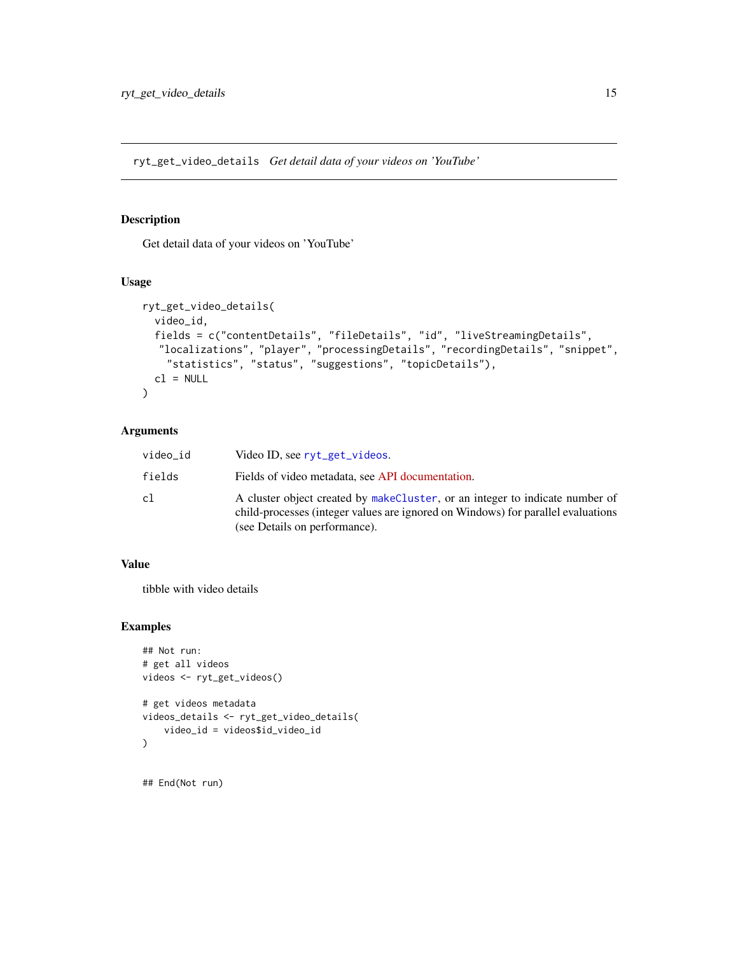<span id="page-14-0"></span>ryt\_get\_video\_details *Get detail data of your videos on 'YouTube'*

#### Description

Get detail data of your videos on 'YouTube'

#### Usage

```
ryt_get_video_details(
 video_id,
 fields = c("contentDetails", "fileDetails", "id", "liveStreamingDetails",
  "localizations", "player", "processingDetails", "recordingDetails", "snippet",
   "statistics", "status", "suggestions", "topicDetails"),
 cl = NULL)
```
# Arguments

| video_id | Video ID, see ryt_get_videos.                                                                                                                                                                     |
|----------|---------------------------------------------------------------------------------------------------------------------------------------------------------------------------------------------------|
| fields   | Fields of video metadata, see API documentation.                                                                                                                                                  |
| cl       | A cluster object created by makeCluster, or an integer to indicate number of<br>child-processes (integer values are ignored on Windows) for parallel evaluations<br>(see Details on performance). |

# Value

tibble with video details

#### Examples

```
## Not run:
# get all videos
videos <- ryt_get_videos()
# get videos metadata
videos_details <- ryt_get_video_details(
    video_id = videos$id_video_id
)
## End(Not run)
```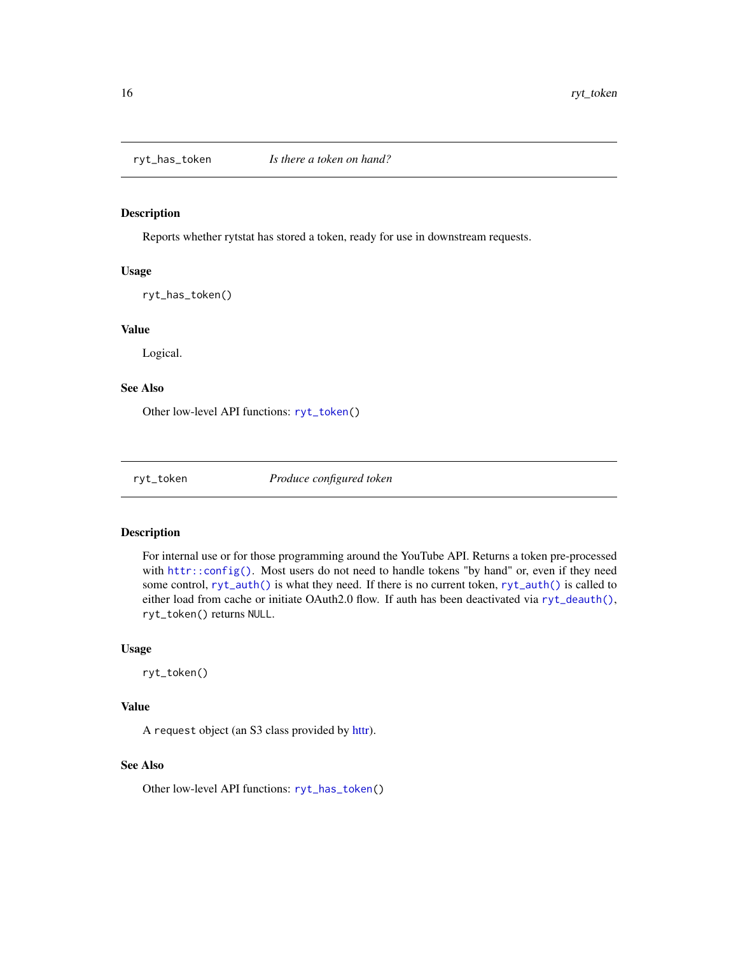<span id="page-15-2"></span><span id="page-15-0"></span>

Reports whether rytstat has stored a token, ready for use in downstream requests.

#### Usage

ryt\_has\_token()

#### Value

Logical.

#### See Also

Other low-level API functions: [ryt\\_token\(](#page-15-1))

<span id="page-15-1"></span>ryt\_token *Produce configured token*

#### Description

For internal use or for those programming around the YouTube API. Returns a token pre-processed with [httr::config\(\)](#page-0-0). Most users do not need to handle tokens "by hand" or, even if they need some control, [ryt\\_auth\(\)](#page-1-1) is what they need. If there is no current token, [ryt\\_auth\(\)](#page-1-1) is called to either load from cache or initiate OAuth2.0 flow. If auth has been deactivated via [ryt\\_deauth\(\)](#page-5-1), ryt\_token() returns NULL.

#### Usage

ryt\_token()

# Value

A request object (an S3 class provided by [httr\)](#page-0-0).

#### See Also

Other low-level API functions: [ryt\\_has\\_token\(](#page-15-2))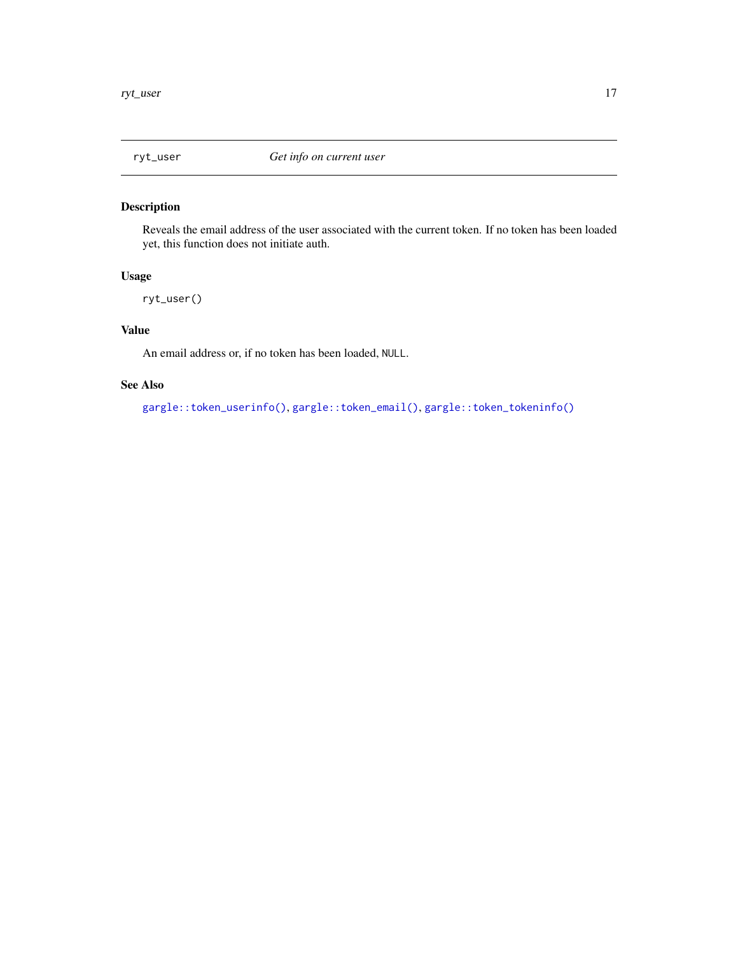<span id="page-16-0"></span>

Reveals the email address of the user associated with the current token. If no token has been loaded yet, this function does not initiate auth.

# Usage

ryt\_user()

#### Value

An email address or, if no token has been loaded, NULL.

#### See Also

[gargle::token\\_userinfo\(\)](#page-0-0), [gargle::token\\_email\(\)](#page-0-0), [gargle::token\\_tokeninfo\(\)](#page-0-0)